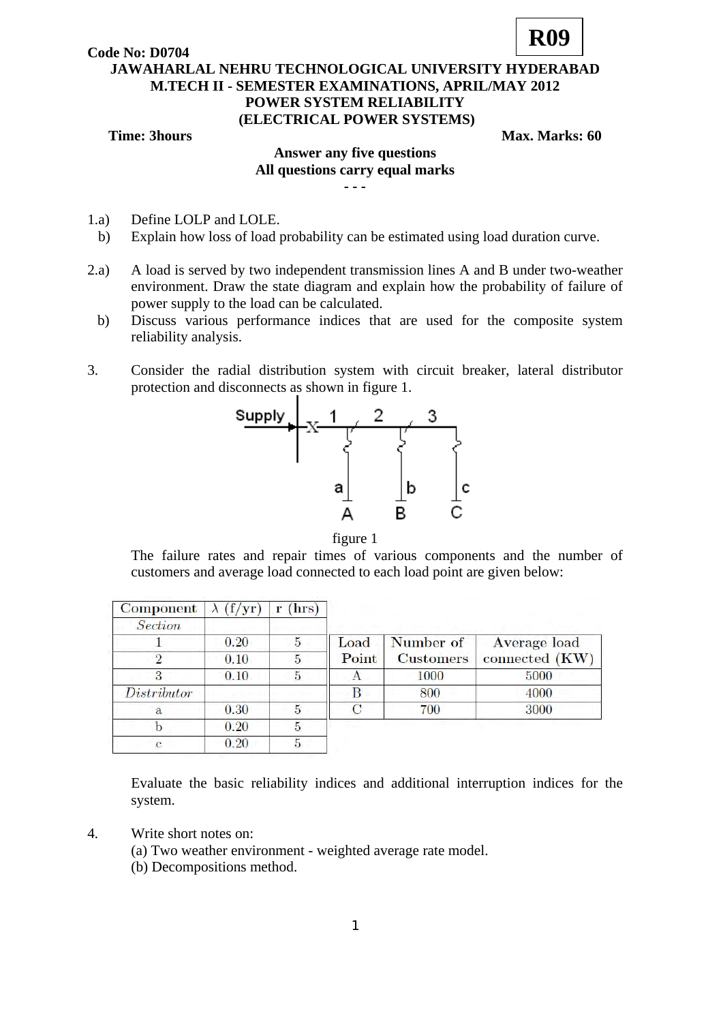**Code No: D0704**



## **JAWAHARLAL NEHRU TECHNOLOGICAL UNIVERSITY HYDERABAD M.TECH II - SEMESTER EXAMINATIONS, APRIL/MAY 2012 POWER SYSTEM RELIABILITY (ELECTRICAL POWER SYSTEMS)**

**Time: 3hours Max. Marks: 60 Max. Marks: 60** 

## **Answer any five questions All questions carry equal marks - - -**

- 1.a) Define LOLP and LOLE.
- b) Explain how loss of load probability can be estimated using load duration curve.
- 2.a) A load is served by two independent transmission lines A and B under two-weather environment. Draw the state diagram and explain how the probability of failure of power supply to the load can be calculated.
- b) Discuss various performance indices that are used for the composite system reliability analysis.
- 3. Consider the radial distribution system with circuit breaker, lateral distributor protection and disconnects as shown in figure 1.





The failure rates and repair times of various components and the number of customers and average load connected to each load point are given below:

| <b>Component</b> | (f/yr) | (hrs)<br>т |       |                  |                |
|------------------|--------|------------|-------|------------------|----------------|
| Section          |        |            |       |                  |                |
|                  | 0.20   | 5          | Load  | Number of        | Average load   |
| $\mathcal{D}$    | 0.10   | 5          | Point | <b>Customers</b> | connected (KW) |
| 3                | 0.10   | 5          |       | 1000             | 5000           |
| Distributor      |        |            |       | 800              | 4000           |
| a                | 0.30   | 5          |       | 700              | 3000           |
|                  | 0.20   | 5          |       |                  |                |
| c                | 0.20   | 5          |       |                  |                |

Evaluate the basic reliability indices and additional interruption indices for the system.

- 4. Write short notes on:
	- (a) Two weather environment weighted average rate model.
	- (b) Decompositions method.